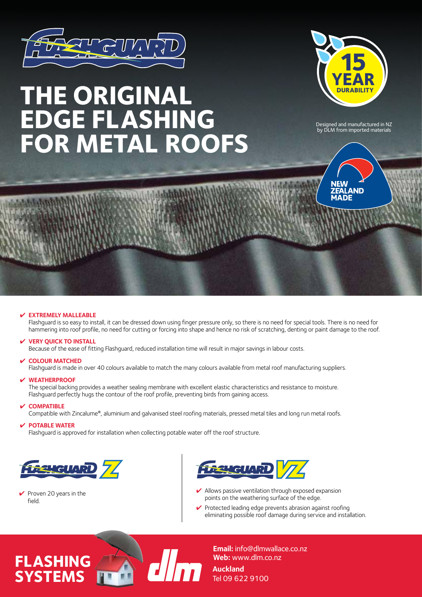

# **THE ORIGINAL EDGE FLASHING FOR METAL ROOFS**



Designed and manufactured in NZ by DLM from imported materials



## ✔ **EXTREMELY MALLEABLE**

Flashguard is so easy to install, it can be dressed down using finger pressure only, so there is no need for special tools. There is no need for hammering into roof profile, no need for cutting or forcing into shape and hence no risk of scratching, denting or paint damage to the roof.

## **VERY QUICK TO INSTALL**

Because of the ease of fitting Flashguard, reduced installation time will result in major savings in labour costs.

## ✔ **COLOUR MATCHED**

Flashguard is made in over 40 colours available to match the many colours available from metal roof manufacturing suppliers.

#### ✔ **WEATHERPROOF**

The special backing provides a weather sealing membrane with excellent elastic characteristics and resistance to moisture. Flashguard perfectly hugs the contour of the roof profile, preventing birds from gaining access.

#### ✔ **COMPATIBLE**

Compatible with Zincalume**®**, aluminium and galvanised steel roofing materials, pressed metal tiles and long run metal roofs.

#### ✔ **POTABLE WATER**

Flashguard is approved for installation when collecting potable water off the roof structure.



Proven 20 years in the field.

**SYSTEMS**



- $\vee$  Allows passive ventilation through exposed expansion points on the weathering surface of the edge.
- Protected leading edge prevents abrasion against roofing eliminating possible roof damage during service and installation.

**Auckland**  Tel 09 622 9100 **Email:** info@dlmwallace.co.nz **FLASHING**<br>SYSTEMS **EMALL AND REMOVEMENT AND AUCKland**